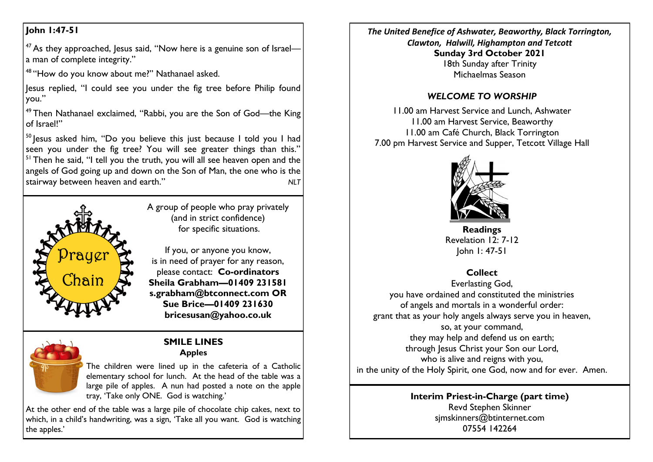## **John 1:47-51**

<sup>47</sup> As they approached, Jesus said, "Now here is a genuine son of Israela man of complete integrity."

<sup>48</sup> "How do you know about me?" Nathanael asked.

Jesus replied, "I could see you under the fig tree before Philip found you."

<sup>49</sup> Then Nathanael exclaimed, "Rabbi, you are the Son of God—the King of Israel!"

 $50$  lesus asked him, "Do you believe this just because I told you I had seen you under the fig tree? You will see greater things than this." <sup>51</sup> Then he said, "I tell you the truth, you will all see heaven open and the angels of God going up and down on the Son of Man, the one who is the stairway between heaven and earth." *NLT*



A group of people who pray privately (and in strict confidence) for specific situations.

If you, or anyone you know, is in need of prayer for any reason, please contact: **Co-ordinators Sheila Grabham—01409 231581 s.grabham@btconnect.com OR Sue Brice—01409 231630 bricesusan@yahoo.co.uk**



## **SMILE LINES Apples**

The children were lined up in the cafeteria of a Catholic elementary school for lunch. At the head of the table was a large pile of apples. A nun had posted a note on the apple tray, 'Take only ONE. God is watching.'

At the other end of the table was a large pile of chocolate chip cakes, next to which, in a child's handwriting, was a sign, 'Take all you want. God is watching the apples.'

*The United Benefice of Ashwater, Beaworthy, Black Torrington, Clawton, Halwill, Highampton and Tetcott* **Sunday 3rd October 2021** 18th Sunday after Trinity Michaelmas Season

# *WELCOME TO WORSHIP*

11.00 am Harvest Service and Lunch, Ashwater 11.00 am Harvest Service, Beaworthy 11.00 am Café Church, Black Torrington 7.00 pm Harvest Service and Supper, Tetcott Village Hall



**Readings** Revelation 12: 7-12 John 1: 47-51

# **Collect**

Everlasting God, you have ordained and constituted the ministries of angels and mortals in a wonderful order: grant that as your holy angels always serve you in heaven, so, at your command, they may help and defend us on earth; through Jesus Christ your Son our Lord, who is alive and reigns with you, in the unity of the Holy Spirit, one God, now and for ever. Amen.

### **Interim Priest-in-Charge (part time)** Revd Stephen Skinner [sjmskinners@btinternet.com](mailto:sjmskinners@btinternet.com) 07554 142264